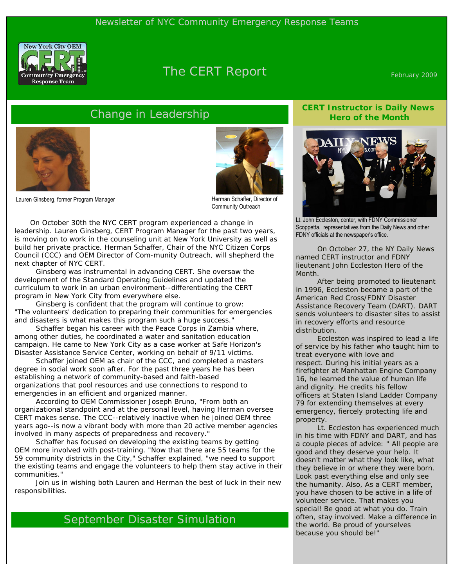

# The CERT Report February 2009

## Change in Leadership



Lauren Ginsberg, former Program Manager



Herman Schaffer, Director of Community Outreach

 On October 30th the NYC CERT program experienced a change in leadership. Lauren Ginsberg, CERT Program Manager for the past two years, is moving on to work in the counseling unit at New York University as well as build her private practice. Herman Schaffer, Chair of the NYC Citizen Corps Council (CCC) and OEM Director of Com-munity Outreach, will shepherd the next chapter of NYC CERT.

 Ginsberg was instrumental in advancing CERT. She oversaw the development of the Standard Operating Guidelines and updated the curriculum to work in an urban environment--differentiating the CERT program in New York City from everywhere else.

 Ginsberg is confident that the program will continue to grow: "The volunteers' dedication to preparing their communities for emergencies and disasters is what makes this program such a huge success."

 Schaffer began his career with the Peace Corps in Zambia where, among other duties, he coordinated a water and sanitation education campaign. He came to New York City as a case worker at Safe Horizon's Disaster Assistance Service Center, working on behalf of 9/11 victims.

 Schaffer joined OEM as chair of the CCC, and completed a masters degree in social work soon after. For the past three years he has been establishing a network of community-based and faith-based organizations that pool resources and use connections to respond to emergencies in an efficient and organized manner.

 According to OEM Commissioner Joseph Bruno, "From both an organizational standpoint and at the personal level, having Herman oversee CERT makes sense. The CCC--relatively inactive when he joined OEM three years ago--is now a vibrant body with more than 20 active member agencies involved in many aspects of preparedness and recovery."

 Schaffer has focused on developing the existing teams by getting OEM more involved with post-training. "Now that there are 55 teams for the 59 community districts in the City," Schaffer explained, "we need to support the existing teams and engage the volunteers to help them stay active in their communities."

 Join us in wishing both Lauren and Herman the best of luck in their new responsibilities.

## September Disaster Simulation

### **CERT Instructor is Daily News Hero of the Month**



Lt. John Eccleston, center, with FDNY Commissioner Scoppetta, representatives from the Daily News and other FDNY officials at the newspaper's office.

 On October 27, the NY Daily News named CERT instructor and FDNY lieutenant John Eccleston Hero of the Month.

 After being promoted to lieutenant in 1996, Eccleston became a part of the American Red Cross/FDNY Disaster Assistance Recovery Team (DART). DART sends volunteers to disaster sites to assist in recovery efforts and resource distribution.

 Eccleston was inspired to lead a life of service by his father who taught him to treat everyone with love and respect. During his initial years as a firefighter at Manhattan Engine Company 16, he learned the value of human life and dignity. He credits his fellow officers at Staten Island Ladder Company 79 for extending themselves at every emergency, fiercely protecting life and property.

 Lt. Eccleston has experienced much in his time with FDNY and DART, and has a couple pieces of advice: " All people are good and they deserve your help. It doesn't matter what they look like, what they believe in or where they were born. Look past everything else and only see the humanity. Also, As a CERT member, you have chosen to be active in a life of volunteer service. That makes you special! Be good at what you do. Train often, stay involved. Make a difference in the world. Be proud of yourselves because you should be!"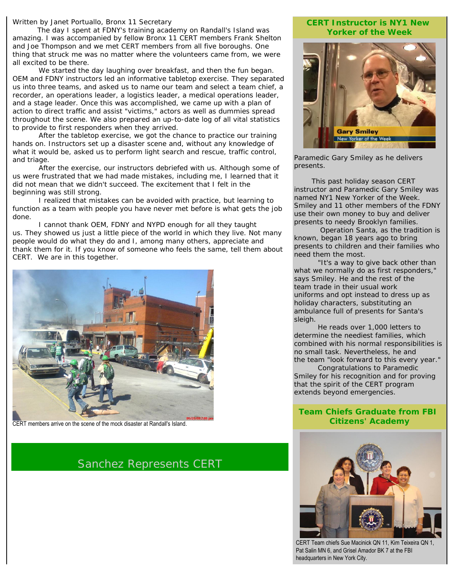#### *Written by Janet Portuallo, Bronx 11 Secretary*

 The day I spent at FDNY's training academy on Randall's Island was amazing. I was accompanied by fellow Bronx 11 CERT members Frank Shelton and Joe Thompson and we met CERT members from all five boroughs. One thing that struck me was no matter where the volunteers came from, we were all excited to be there.

We started the day laughing over breakfast, and then the fun began. OEM and FDNY instructors led an informative tabletop exercise. They separated us into three teams, and asked us to name our team and select a team chief, a recorder, an operations leader, a logistics leader, a medical operations leader, and a stage leader. Once this was accomplished, we came up with a plan of action to direct traffic and assist "victims," actors as well as dummies spread throughout the scene. We also prepared an up-to-date log of all vital statistics to provide to first responders when they arrived.

 After the tabletop exercise, we got the chance to practice our training hands on. Instructors set up a disaster scene and, without any knowledge of what it would be, asked us to perform light search and rescue, traffic control, and triage.

 After the exercise, our instructors debriefed with us. Although some of us were frustrated that we had made mistakes, including me, I learned that it did not mean that we didn't succeed. The excitement that I felt in the beginning was still strong.

 I realized that mistakes can be avoided with practice, but learning to function as a team with people you have never met before is what gets the job done.

 I cannot thank OEM, FDNY and NYPD enough for all they taught us. They showed us just a little piece of the world in which they live. Not many people would do what they do and I, among many others, appreciate and thank them for it. If you know of someone who feels the same, tell them about CERT. We are in this together.



CERT members arrive on the scene of the mock disaster at Randall's Island.

Sanchez Represents CERT

#### **CERT Instructor is NY1 New Yorker of the Week**



Paramedic Gary Smiley as he delivers presents.

 This past holiday season CERT instructor and Paramedic Gary Smiley was named NY1 New Yorker of the Week. Smiley and 11 other members of the FDNY use their own money to buy and deliver presents to needy Brooklyn families.

 Operation Santa, as the tradition is known, began 18 years ago to bring presents to children and their families who need them the most.

 "It's a way to give back other than what we normally do as first responders," says Smiley. He and the rest of the team trade in their usual work uniforms and opt instead to dress up as holiday characters, substituting an ambulance full of presents for Santa's sleigh.

 He reads over 1,000 letters to determine the neediest families, which combined with his normal responsibilities is no small task. Nevertheless, he and the team "look forward to this every year."

 Congratulations to Paramedic Smiley for his recognition and for proving that the spirit of the CERT program extends beyond emergencies.

### **Team Chiefs Graduate from FBI Citizens' Academy**



CERT Team chiefs Sue Macinick QN 11, Kim Teixeira QN 1, Pat Salin MN 6, and Grisel Amador BK 7 at the FBI headquarters in New York City.